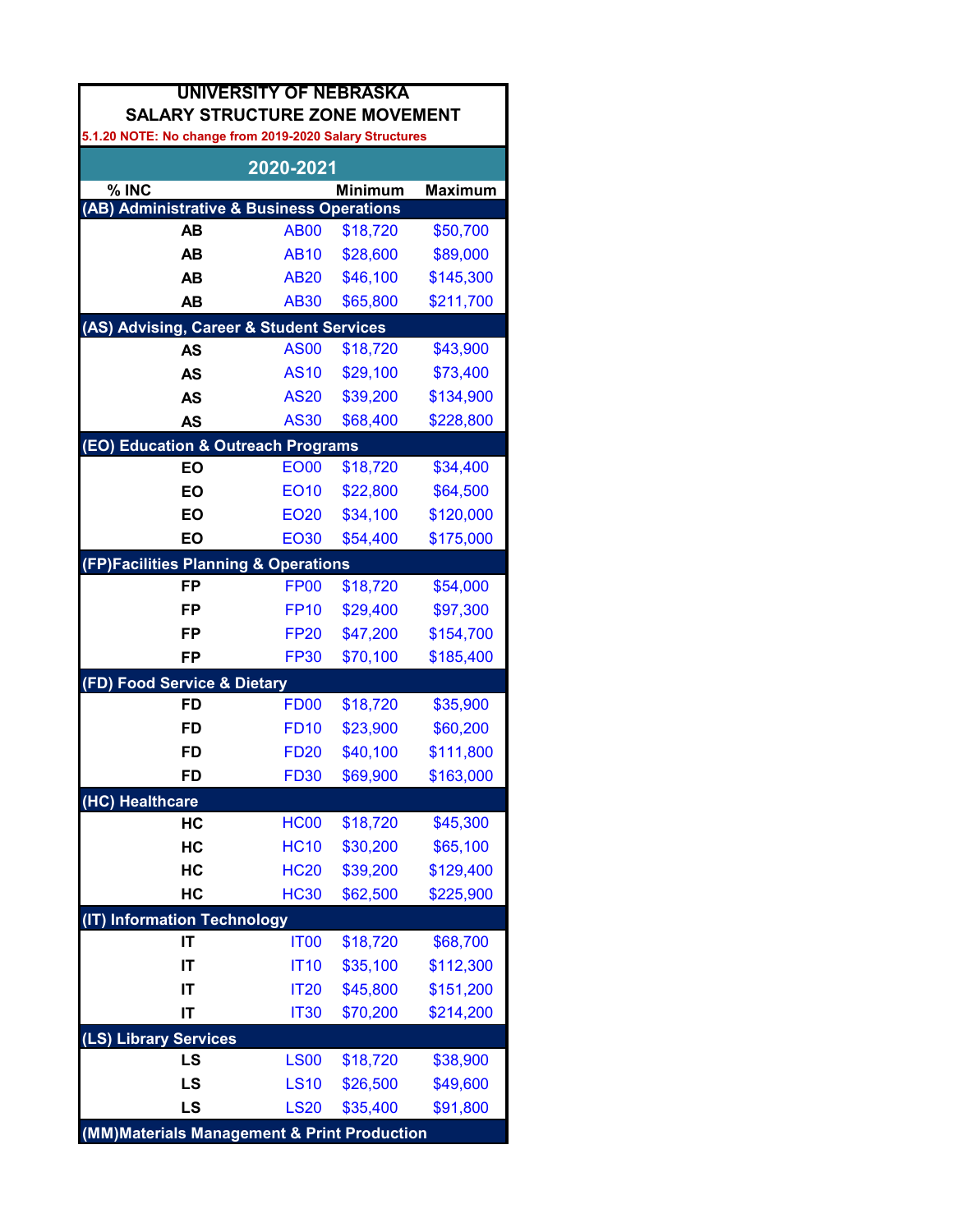| <b>UNIVERSITY OF NEBRASKA</b><br><b>SALARY STRUCTURE ZONE MOVEMENT</b> |                  |                |                |  |
|------------------------------------------------------------------------|------------------|----------------|----------------|--|
| 5.1.20 NOTE: No change from 2019-2020 Salary Structures                |                  |                |                |  |
|                                                                        | 2020-2021        |                |                |  |
| % INC                                                                  |                  | <b>Minimum</b> | <b>Maximum</b> |  |
| (AB) Administrative & Business Operations                              |                  |                |                |  |
| <b>AB</b>                                                              | <b>AB00</b>      | \$18,720       | \$50,700       |  |
| <b>AB</b>                                                              | <b>AB10</b>      | \$28,600       | \$89,000       |  |
| AB                                                                     | <b>AB20</b>      | \$46,100       | \$145,300      |  |
| AB                                                                     | <b>AB30</b>      | \$65,800       | \$211,700      |  |
| (AS) Advising, Career & Student Services                               |                  |                |                |  |
| AS                                                                     | <b>AS00</b>      | \$18,720       | \$43,900       |  |
| <b>AS</b>                                                              | <b>AS10</b>      | \$29,100       | \$73,400       |  |
| <b>AS</b>                                                              | <b>AS20</b>      | \$39,200       | \$134,900      |  |
| <b>AS</b>                                                              | <b>AS30</b>      | \$68,400       | \$228,800      |  |
| (EO) Education & Outreach Programs                                     |                  |                |                |  |
| EO                                                                     | <b>EO00</b>      | \$18,720       | \$34,400       |  |
| EO                                                                     | <b>EO10</b>      | \$22,800       | \$64,500       |  |
| EO                                                                     | <b>EO20</b>      | \$34,100       | \$120,000      |  |
| EO                                                                     | <b>EO30</b>      | \$54,400       | \$175,000      |  |
| (FP)Facilities Planning & Operations                                   |                  |                |                |  |
| <b>FP</b>                                                              | FP <sub>00</sub> | \$18,720       | \$54,000       |  |
| FP                                                                     | <b>FP10</b>      | \$29,400       | \$97,300       |  |
| FP                                                                     | <b>FP20</b>      | \$47,200       | \$154,700      |  |
| FP                                                                     | <b>FP30</b>      | \$70,100       | \$185,400      |  |
| (FD) Food Service & Dietary                                            |                  |                |                |  |
| FD                                                                     | <b>FD00</b>      | \$18,720       | \$35,900       |  |
| FD                                                                     | <b>FD10</b>      | \$23,900       | \$60,200       |  |
| FD                                                                     | <b>FD20</b>      | \$40,100       | \$111,800      |  |
| <b>FD</b>                                                              | <b>FD30</b>      | \$69,900       | \$163,000      |  |
| (HC) Healthcare                                                        |                  |                |                |  |
| HC                                                                     | <b>HC00</b>      | \$18,720       | \$45,300       |  |
| HC                                                                     | <b>HC10</b>      | \$30,200       | \$65,100       |  |
| HC                                                                     | <b>HC20</b>      | \$39,200       | \$129,400      |  |
| HC                                                                     | <b>HC30</b>      | \$62,500       | \$225,900      |  |
| <b>Information Technology</b><br>(IT)                                  |                  |                |                |  |
| IT                                                                     | <b>IT00</b>      | \$18,720       | \$68,700       |  |
| IT                                                                     | <b>IT10</b>      | \$35,100       | \$112,300      |  |
| IT                                                                     | <b>IT20</b>      | \$45,800       | \$151,200      |  |
| IT                                                                     | <b>IT30</b>      | \$70,200       | \$214,200      |  |
| (LS) Library Services                                                  |                  |                |                |  |
| LS                                                                     | <b>LS00</b>      | \$18,720       | \$38,900       |  |
| LS                                                                     | <b>LS10</b>      | \$26,500       | \$49,600       |  |
| LS                                                                     | <b>LS20</b>      | \$35,400       | \$91,800       |  |
| (MM) Materials Management & Print Production                           |                  |                |                |  |